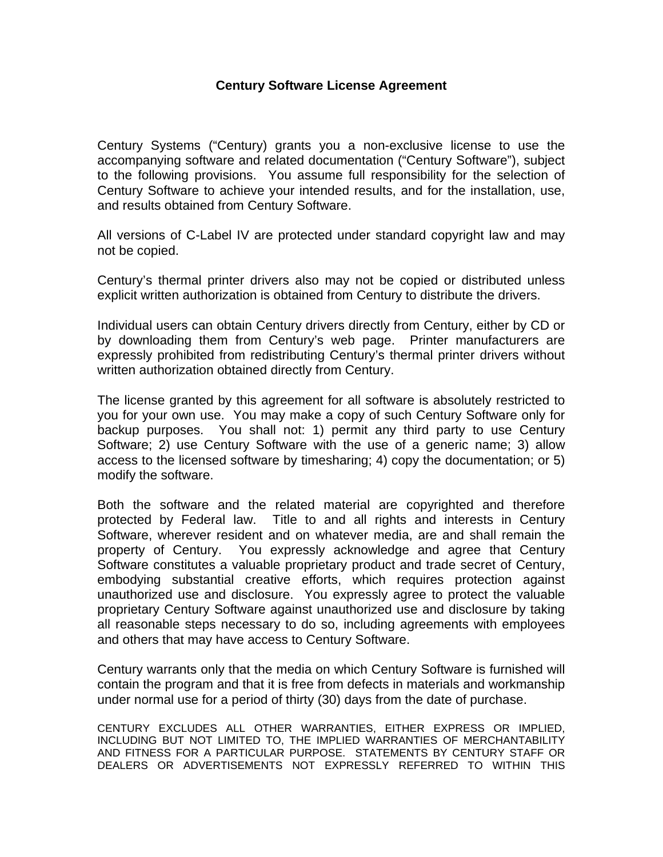## **Century Software License Agreement**

Century Systems ("Century) grants you a non-exclusive license to use the accompanying software and related documentation ("Century Software"), subject to the following provisions. You assume full responsibility for the selection of Century Software to achieve your intended results, and for the installation, use, and results obtained from Century Software.

All versions of C-Label IV are protected under standard copyright law and may not be copied.

Century's thermal printer drivers also may not be copied or distributed unless explicit written authorization is obtained from Century to distribute the drivers.

Individual users can obtain Century drivers directly from Century, either by CD or by downloading them from Century's web page. Printer manufacturers are expressly prohibited from redistributing Century's thermal printer drivers without written authorization obtained directly from Century.

The license granted by this agreement for all software is absolutely restricted to you for your own use. You may make a copy of such Century Software only for backup purposes. You shall not: 1) permit any third party to use Century Software; 2) use Century Software with the use of a generic name; 3) allow access to the licensed software by timesharing; 4) copy the documentation; or 5) modify the software.

Both the software and the related material are copyrighted and therefore protected by Federal law. Title to and all rights and interests in Century Software, wherever resident and on whatever media, are and shall remain the property of Century. You expressly acknowledge and agree that Century Software constitutes a valuable proprietary product and trade secret of Century, embodying substantial creative efforts, which requires protection against unauthorized use and disclosure. You expressly agree to protect the valuable proprietary Century Software against unauthorized use and disclosure by taking all reasonable steps necessary to do so, including agreements with employees and others that may have access to Century Software.

Century warrants only that the media on which Century Software is furnished will contain the program and that it is free from defects in materials and workmanship under normal use for a period of thirty (30) days from the date of purchase.

CENTURY EXCLUDES ALL OTHER WARRANTIES, EITHER EXPRESS OR IMPLIED, INCLUDING BUT NOT LIMITED TO, THE IMPLIED WARRANTIES OF MERCHANTABILITY AND FITNESS FOR A PARTICULAR PURPOSE. STATEMENTS BY CENTURY STAFF OR DEALERS OR ADVERTISEMENTS NOT EXPRESSLY REFERRED TO WITHIN THIS